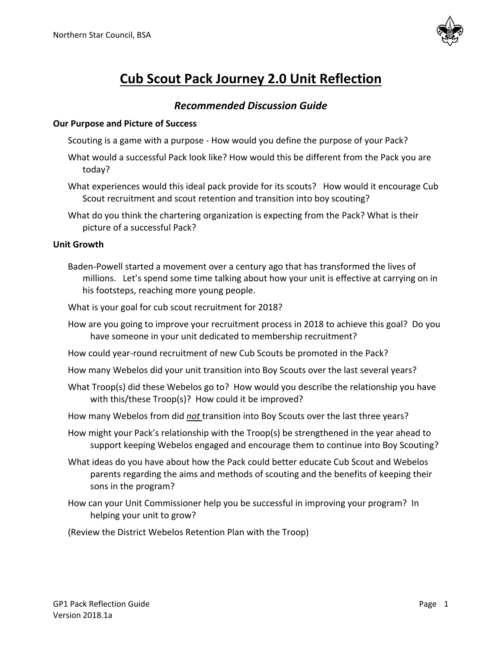

# **Cub Scout Pack Journey 2.0 Unit Reflection**

# *Recommended Discussion Guide*

#### **Our Purpose and Picture of Success**

- Scouting is a game with a purpose How would you define the purpose of your Pack?
- What would a successful Pack look like? How would this be different from the Pack you are today?
- What experiences would this ideal pack provide for its scouts? How would it encourage Cub Scout recruitment and scout retention and transition into boy scouting?
- What do you think the chartering organization is expecting from the Pack? What is their picture of a successful Pack?

#### **Unit Growth**

- Baden-Powell started a movement over a century ago that has transformed the lives of millions. Let's spend some time talking about how your unit is effective at carrying on in his footsteps, reaching more young people.
- What is your goal for cub scout recruitment for 2018?
- How are you going to improve your recruitment process in 2018 to achieve this goal? Do you have someone in your unit dedicated to membership recruitment?
- How could year-round recruitment of new Cub Scouts be promoted in the Pack?
- How many Webelos did your unit transition into Boy Scouts over the last several years?
- What Troop(s) did these Webelos go to? How would you describe the relationship you have with this/these Troop(s)? How could it be improved?
- How many Webelos from did *not* transition into Boy Scouts over the last three years?
- How might your Pack's relationship with the Troop(s) be strengthened in the year ahead to support keeping Webelos engaged and encourage them to continue into Boy Scouting?
- What ideas do you have about how the Pack could better educate Cub Scout and Webelos parents regarding the aims and methods of scouting and the benefits of keeping their sons in the program?
- How can your Unit Commissioner help you be successful in improving your program? In helping your unit to grow?
- (Review the District Webelos Retention Plan with the Troop)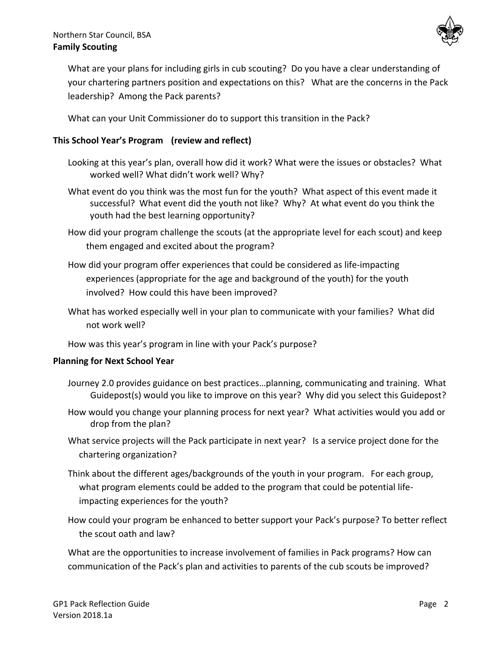## Northern Star Council, BSA **Family Scouting**



What are your plans for including girls in cub scouting? Do you have a clear understanding of your chartering partners position and expectations on this? What are the concerns in the Pack leadership? Among the Pack parents?

What can your Unit Commissioner do to support this transition in the Pack?

## **This School Year's Program (review and reflect)**

- Looking at this year's plan, overall how did it work? What were the issues or obstacles? What worked well? What didn't work well? Why?
- What event do you think was the most fun for the youth? What aspect of this event made it successful? What event did the youth not like? Why? At what event do you think the youth had the best learning opportunity?
- How did your program challenge the scouts (at the appropriate level for each scout) and keep them engaged and excited about the program?
- How did your program offer experiences that could be considered as life-impacting experiences (appropriate for the age and background of the youth) for the youth involved? How could this have been improved?
- What has worked especially well in your plan to communicate with your families? What did not work well?
- How was this year's program in line with your Pack's purpose?

#### **Planning for Next School Year**

- Journey 2.0 provides guidance on best practices…planning, communicating and training. What Guidepost(s) would you like to improve on this year? Why did you select this Guidepost?
- How would you change your planning process for next year? What activities would you add or drop from the plan?
- What service projects will the Pack participate in next year? Is a service project done for the chartering organization?
- Think about the different ages/backgrounds of the youth in your program. For each group, what program elements could be added to the program that could be potential lifeimpacting experiences for the youth?
- How could your program be enhanced to better support your Pack's purpose? To better reflect the scout oath and law?

What are the opportunities to increase involvement of families in Pack programs? How can communication of the Pack's plan and activities to parents of the cub scouts be improved?